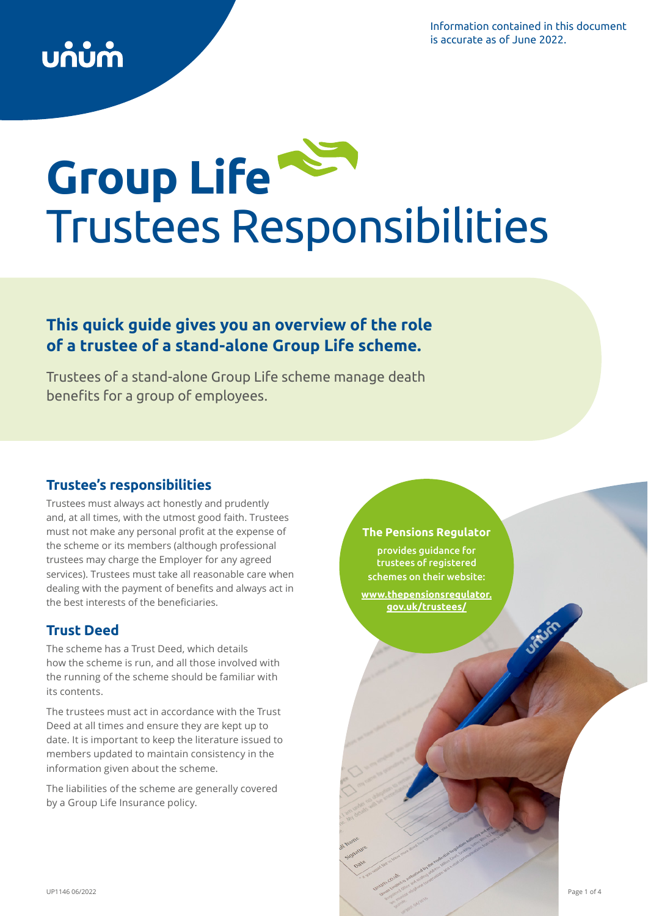Information contained in this document is accurate as of June 2022.

# **Group Life**  Trustees Responsibilities

# **This quick guide gives you an overview of the role of a trustee of a stand-alone Group Life scheme.**

Trustees of a stand-alone Group Life scheme manage death benefits for a group of employees.

# **Trustee's responsibilities**

Trustees must always act honestly and prudently and, at all times, with the utmost good faith. Trustees must not make any personal profit at the expense of the scheme or its members (although professional trustees may charge the Employer for any agreed services). Trustees must take all reasonable care when dealing with the payment of benefits and always act in the best interests of the beneficiaries.

# **Trust Deed**

The scheme has a Trust Deed, which details how the scheme is run, and all those involved with the running of the scheme should be familiar with its contents.

The trustees must act in accordance with the Trust Deed at all times and ensure they are kept up to date. It is important to keep the literature issued to members updated to maintain consistency in the information given about the scheme.

The liabilities of the scheme are generally covered by a Group Life Insurance policy.

# **The Pensions Regulator**

provides guidance for trustees of registered schemes on their website: **[www.thepensionsregulator.](http://www.thepensionsregulator.gov.uk/trustees/) [gov.uk/trustees/](http://www.thepensionsregulator.gov.uk/trustees/)**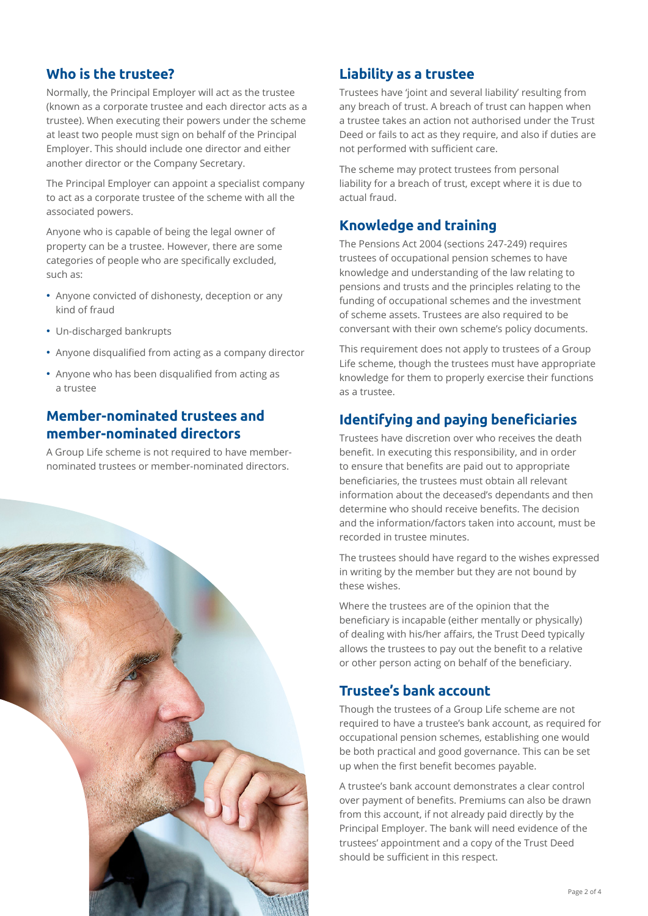## **Who is the trustee?**

Normally, the Principal Employer will act as the trustee (known as a corporate trustee and each director acts as a trustee). When executing their powers under the scheme at least two people must sign on behalf of the Principal Employer. This should include one director and either another director or the Company Secretary.

The Principal Employer can appoint a specialist company to act as a corporate trustee of the scheme with all the associated powers.

Anyone who is capable of being the legal owner of property can be a trustee. However, there are some categories of people who are specifically excluded, such as:

- Anyone convicted of dishonesty, deception or any kind of fraud
- Un-discharged bankrupts
- Anyone disqualified from acting as a company director
- Anyone who has been disqualified from acting as a trustee

## **Member-nominated trustees and member-nominated directors**

A Group Life scheme is not required to have membernominated trustees or member-nominated directors.



## **Liability as a trustee**

Trustees have 'joint and several liability' resulting from any breach of trust. A breach of trust can happen when a trustee takes an action not authorised under the Trust Deed or fails to act as they require, and also if duties are not performed with sufficient care.

The scheme may protect trustees from personal liability for a breach of trust, except where it is due to actual fraud.

### **Knowledge and training**

The Pensions Act 2004 (sections 247-249) requires trustees of occupational pension schemes to have knowledge and understanding of the law relating to pensions and trusts and the principles relating to the funding of occupational schemes and the investment of scheme assets. Trustees are also required to be conversant with their own scheme's policy documents.

This requirement does not apply to trustees of a Group Life scheme, though the trustees must have appropriate knowledge for them to properly exercise their functions as a trustee.

# **Identifying and paying beneficiaries**

Trustees have discretion over who receives the death benefit. In executing this responsibility, and in order to ensure that benefits are paid out to appropriate beneficiaries, the trustees must obtain all relevant information about the deceased's dependants and then determine who should receive benefits. The decision and the information/factors taken into account, must be recorded in trustee minutes.

The trustees should have regard to the wishes expressed in writing by the member but they are not bound by these wishes.

Where the trustees are of the opinion that the beneficiary is incapable (either mentally or physically) of dealing with his/her affairs, the Trust Deed typically allows the trustees to pay out the benefit to a relative or other person acting on behalf of the beneficiary.

### **Trustee's bank account**

Though the trustees of a Group Life scheme are not required to have a trustee's bank account, as required for occupational pension schemes, establishing one would be both practical and good governance. This can be set up when the first benefit becomes payable.

A trustee's bank account demonstrates a clear control over payment of benefits. Premiums can also be drawn from this account, if not already paid directly by the Principal Employer. The bank will need evidence of the trustees' appointment and a copy of the Trust Deed should be sufficient in this respect.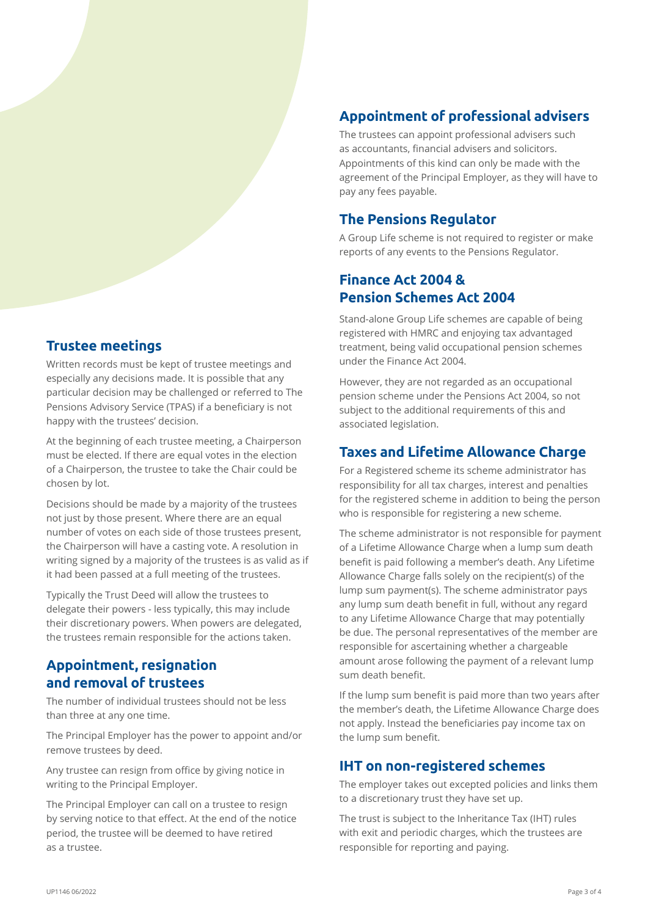#### **Trustee meetings**

Written records must be kept of trustee meetings and especially any decisions made. It is possible that any particular decision may be challenged or referred to The Pensions Advisory Service (TPAS) if a beneficiary is not happy with the trustees' decision.

At the beginning of each trustee meeting, a Chairperson must be elected. If there are equal votes in the election of a Chairperson, the trustee to take the Chair could be chosen by lot.

Decisions should be made by a majority of the trustees not just by those present. Where there are an equal number of votes on each side of those trustees present, the Chairperson will have a casting vote. A resolution in writing signed by a majority of the trustees is as valid as if it had been passed at a full meeting of the trustees.

Typically the Trust Deed will allow the trustees to delegate their powers - less typically, this may include their discretionary powers. When powers are delegated, the trustees remain responsible for the actions taken.

# **Appointment, resignation and removal of trustees**

The number of individual trustees should not be less than three at any one time.

The Principal Employer has the power to appoint and/or remove trustees by deed.

Any trustee can resign from office by giving notice in writing to the Principal Employer.

The Principal Employer can call on a trustee to resign by serving notice to that effect. At the end of the notice period, the trustee will be deemed to have retired as a trustee.

# **Appointment of professional advisers**

The trustees can appoint professional advisers such as accountants, financial advisers and solicitors. Appointments of this kind can only be made with the agreement of the Principal Employer, as they will have to pay any fees payable.

#### **The Pensions Regulator**

A Group Life scheme is not required to register or make reports of any events to the Pensions Regulator.

# **Finance Act 2004 & Pension Schemes Act 2004**

Stand-alone Group Life schemes are capable of being registered with HMRC and enjoying tax advantaged treatment, being valid occupational pension schemes under the Finance Act 2004.

However, they are not regarded as an occupational pension scheme under the Pensions Act 2004, so not subject to the additional requirements of this and associated legislation.

### **Taxes and Lifetime Allowance Charge**

For a Registered scheme its scheme administrator has responsibility for all tax charges, interest and penalties for the registered scheme in addition to being the person who is responsible for registering a new scheme.

The scheme administrator is not responsible for payment of a Lifetime Allowance Charge when a lump sum death benefit is paid following a member's death. Any Lifetime Allowance Charge falls solely on the recipient(s) of the lump sum payment(s). The scheme administrator pays any lump sum death benefit in full, without any regard to any Lifetime Allowance Charge that may potentially be due. The personal representatives of the member are responsible for ascertaining whether a chargeable amount arose following the payment of a relevant lump sum death benefit.

If the lump sum benefit is paid more than two years after the member's death, the Lifetime Allowance Charge does not apply. Instead the beneficiaries pay income tax on the lump sum benefit.

#### **IHT on non-registered schemes**

The employer takes out excepted policies and links them to a discretionary trust they have set up.

The trust is subject to the Inheritance Tax (IHT) rules with exit and periodic charges, which the trustees are responsible for reporting and paying.